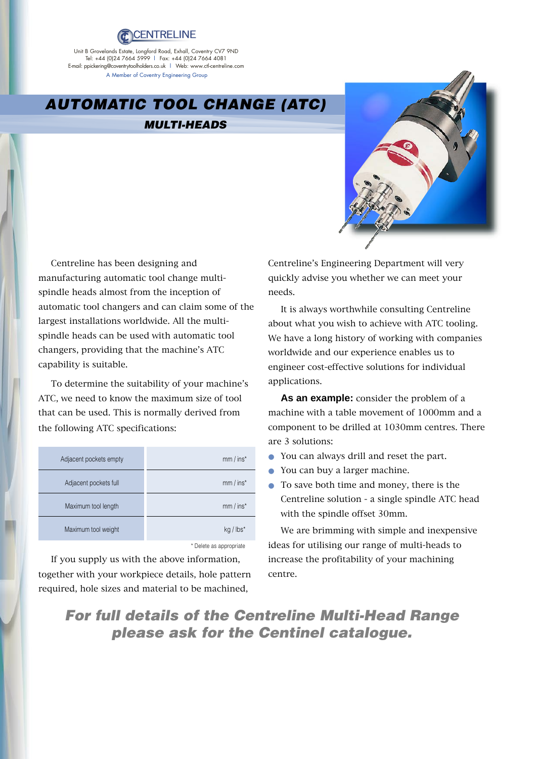

Unit B Grovelands Estate, Longford Road, Exhall, Coventry CV7 9ND Tel: +44 (0)24 7664 5999 | Fax: +44 (0)24 7664 4081<br>E-mail: ppickering@coventrytoolholders.co.uk | Web: www.ctl-centreline.com A Member of Coventry Engineering Group

## **AUTOMATIC TOOL CHANGE (ATC)**

## **MULTI-HEADS**



Centreline has been designing and manufacturing automatic tool change multispindle heads almost from the inception of automatic tool changers and can claim some of the largest installations worldwide. All the multispindle heads can be used with automatic tool changers, providing that the machine's ATC capability is suitable.

To determine the suitability of your machine's ATC, we need to know the maximum size of tool that can be used. This is normally derived from the following ATC specifications:

| Adjacent pockets empty | $mm / ins*$             |
|------------------------|-------------------------|
| Adjacent pockets full  | $mm / ins*$             |
| Maximum tool length    | $mm / ins*$             |
| Maximum tool weight    | $kg / lbs*$             |
|                        | * Delete as appropriate |

If you supply us with the above information, together with your workpiece details, hole pattern required, hole sizes and material to be machined,

Centreline's Engineering Department will very quickly advise you whether we can meet your needs.

It is always worthwhile consulting Centreline about what you wish to achieve with ATC tooling. We have a long history of working with companies worldwide and our experience enables us to engineer cost-effective solutions for individual applications.

**As an example:** consider the problem of a machine with a table movement of 1000mm and a component to be drilled at 1030mm centres. There are 3 solutions:

- You can always drill and reset the part.
- You can buy a larger machine.
- To save both time and money, there is the Centreline solution - a single spindle ATC head with the spindle offset 30mm.

We are brimming with simple and inexpensive ideas for utilising our range of multi-heads to increase the profitability of your machining centre.

**For full details of the Centreline Multi-Head Range please ask for the Centinel catalogue.**